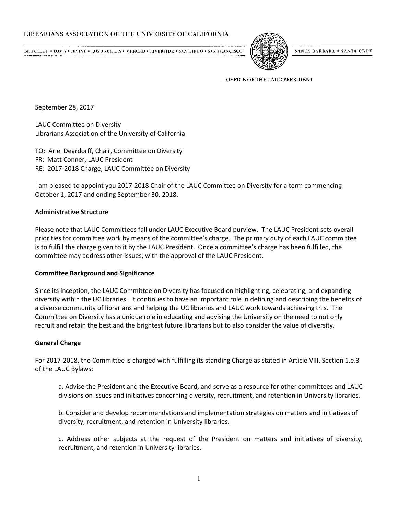BERKELEY . DAVIS . IRVINE . LOS ANGELES . MERCED . RIVERSIDE . SAN DIEGO . SAN FRANCISCO



SANTA BARBARA . SANTA CRUZ

OFFICE OF THE LAUC PRESIDENT

September 28, 2017

LAUC Committee on Diversity Librarians Association of the University of California

TO: Ariel Deardorff, Chair, Committee on Diversity FR: Matt Conner, LAUC President RE: 2017-2018 Charge, LAUC Committee on Diversity

I am pleased to appoint you 2017-2018 Chair of the LAUC Committee on Diversity for a term commencing October 1, 2017 and ending September 30, 2018.

# **Administrative Structure**

Please note that LAUC Committees fall under LAUC Executive Board purview. The LAUC President sets overall priorities for committee work by means of the committee's charge. The primary duty of each LAUC committee is to fulfill the charge given to it by the LAUC President. Once a committee's charge has been fulfilled, the committee may address other issues, with the approval of the LAUC President.

# **Committee Background and Significance**

Since its inception, the LAUC Committee on Diversity has focused on highlighting, celebrating, and expanding diversity within the UC libraries. It continues to have an important role in defining and describing the benefits of a diverse community of librarians and helping the UC libraries and LAUC work towards achieving this. The Committee on Diversity has a unique role in educating and advising the University on the need to not only recruit and retain the best and the brightest future librarians but to also consider the value of diversity.

# **General Charge**

For 2017-2018, the Committee is charged with fulfilling its standing Charge as stated in Article VIII, Section 1.e.3 of the LAUC Bylaws:

a. Advise the President and the Executive Board, and serve as a resource for other committees and LAUC divisions on issues and initiatives concerning diversity, recruitment, and retention in University libraries.

b. Consider and develop recommendations and implementation strategies on matters and initiatives of diversity, recruitment, and retention in University libraries.

c. Address other subjects at the request of the President on matters and initiatives of diversity, recruitment, and retention in University libraries.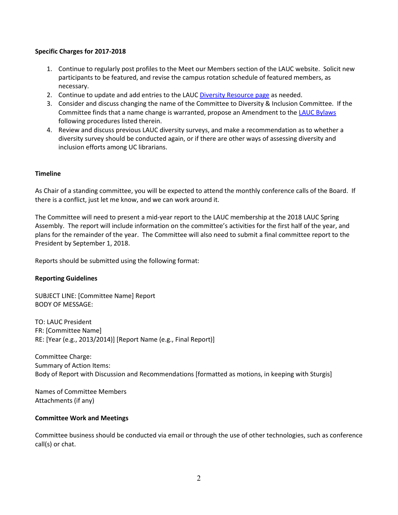#### **Specific Charges for 2017-2018**

- 1. Continue to regularly post profiles to the Meet our Members section of the LAUC website. Solicit new participants to be featured, and revise the campus rotation schedule of featured members, as necessary.
- 2. Continue to update and add entries to the LAU[C Diversity Resource page](https://lauc.ucop.edu/lauc-diversity-resources) as needed.
- 3. Consider and discuss changing the name of the Committee to Diversity & Inclusion Committee. If the Committee finds that a name change is warranted, propose an Amendment to the [LAUC Bylaws](https://lauc.ucop.edu/bylaws-procedures) following procedures listed therein.
- 4. Review and discuss previous LAUC diversity surveys, and make a recommendation as to whether a diversity survey should be conducted again, or if there are other ways of assessing diversity and inclusion efforts among UC librarians.

#### **Timeline**

As Chair of a standing committee, you will be expected to attend the monthly conference calls of the Board. If there is a conflict, just let me know, and we can work around it.

The Committee will need to present a mid-year report to the LAUC membership at the 2018 LAUC Spring Assembly. The report will include information on the committee's activities for the first half of the year, and plans for the remainder of the year. The Committee will also need to submit a final committee report to the President by September 1, 2018.

Reports should be submitted using the following format:

# **Reporting Guidelines**

SUBJECT LINE: [Committee Name] Report BODY OF MESSAGE:

TO: LAUC President FR: [Committee Name] RE: [Year (e.g., 2013/2014)] [Report Name (e.g., Final Report)]

Committee Charge: Summary of Action Items: Body of Report with Discussion and Recommendations [formatted as motions, in keeping with Sturgis]

Names of Committee Members Attachments (if any)

# **Committee Work and Meetings**

Committee business should be conducted via email or through the use of other technologies, such as conference call(s) or chat.